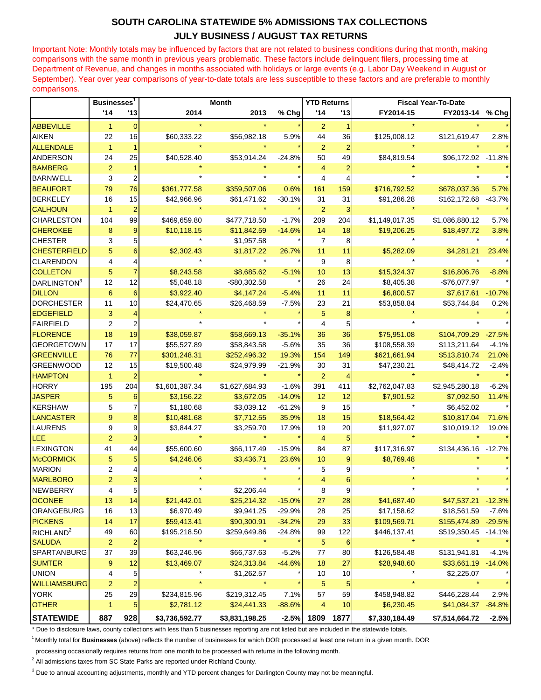## **SOUTH CAROLINA STATEWIDE 5% ADMISSIONS TAX COLLECTIONS JULY BUSINESS / AUGUST TAX RETURNS**

Important Note: Monthly totals may be influenced by factors that are not related to business conditions during that month, making comparisons with the same month in previous years problematic. These factors include delinquent filers, processing time at Department of Revenue, and changes in months associated with holidays or large events (e.g. Labor Day Weekend in August or September). Year over year comparisons of year-to-date totals are less susceptible to these factors and are preferable to monthly comparisons.

|                         | <b>Businesses</b>       |                         | <b>Month</b>   |                |          | <b>YTD Returns</b> |                 | <b>Fiscal Year-To-Date</b> |                     |          |
|-------------------------|-------------------------|-------------------------|----------------|----------------|----------|--------------------|-----------------|----------------------------|---------------------|----------|
|                         | '14                     | '13                     | 2014           | 2013           | % Chg    | '14                | '13             | FY2014-15                  | FY2013-14 % Chq     |          |
| <b>ABBEVILLE</b>        | $\mathbf{1}$            | $\mathbf{0}$            |                |                |          | $\overline{2}$     |                 |                            |                     |          |
| <b>AIKEN</b>            | 22                      | 16                      | \$60,333.22    | \$56,982.18    | 5.9%     | 44                 | 36              | \$125,008.12               | \$121,619.47        | 2.8%     |
| <b>ALLENDALE</b>        | $\mathbf{1}$            | $\mathbf{1}$            |                |                |          | $\overline{2}$     | $\overline{2}$  |                            |                     |          |
| <b>ANDERSON</b>         | 24                      | 25                      | \$40,528.40    | \$53,914.24    | $-24.8%$ | 50                 | 49              | \$84,819.54                | \$96,172.92 -11.8%  |          |
| <b>BAMBERG</b>          | $\overline{2}$          | 1                       |                |                |          | $\overline{4}$     | $\overline{2}$  |                            |                     |          |
| <b>BARNWELL</b>         | 3                       | $\boldsymbol{2}$        |                |                |          | 4                  | 4               |                            |                     |          |
| <b>BEAUFORT</b>         | 79                      | 76                      | \$361,777.58   | \$359,507.06   | 0.6%     | 161                | 159             | \$716,792.52               | \$678,037.36        | 5.7%     |
| <b>BERKELEY</b>         | 16                      | 15                      | \$42,966.96    | \$61,471.62    | $-30.1%$ | 31                 | 31              | \$91,286.28                | \$162,172.68 -43.7% |          |
| <b>CALHOUN</b>          | $\mathbf{1}$            | $\overline{2}$          |                |                |          | $\overline{2}$     | 3               |                            |                     |          |
| <b>CHARLESTON</b>       | 104                     | 99                      | \$469,659.80   | \$477,718.50   | $-1.7%$  | 209                | 204             | \$1,149,017.35             | \$1,086,880.12      | 5.7%     |
| <b>CHEROKEE</b>         | 8                       | $\boldsymbol{9}$        | \$10,118.15    | \$11,842.59    | $-14.6%$ | 14                 | 18              | \$19,206.25                | \$18,497.72         | 3.8%     |
| <b>CHESTER</b>          | 3                       | 5                       |                | \$1,957.58     |          | $\overline{7}$     | 8               |                            |                     |          |
| <b>CHESTERFIELD</b>     | 5                       | $6 \overline{6}$        | \$2,302.43     | \$1,817.22     | 26.7%    | 11                 | 11              | \$5,282.09                 | \$4,281.21          | 23.4%    |
| <b>CLARENDON</b>        | 4                       | $\overline{4}$          |                |                |          | 9                  | 8               |                            |                     |          |
| <b>COLLETON</b>         | 5                       | $\overline{7}$          | \$8,243.58     | \$8,685.62     | $-5.1%$  | 10                 | 13              | \$15,324.37                | \$16,806.76         | $-8.8%$  |
| DARLINGTON <sup>3</sup> | 12                      | 12                      | \$5,048.18     | -\$80,302.58   |          | 26                 | 24              | \$8,405.38                 | -\$76,077.97        |          |
| <b>DILLON</b>           | 6                       | 6                       | \$3,922.40     | \$4,147.24     | $-5.4%$  | 11                 | 11              | \$6,800.57                 | \$7,617.61          | $-10.7%$ |
| <b>DORCHESTER</b>       | 11                      | 10                      | \$24,470.65    | \$26,468.59    | $-7.5%$  | 23                 | 21              | \$53,858.84                | \$53,744.84         | 0.2%     |
| <b>EDGEFIELD</b>        | 3                       | 4                       |                |                |          | 5                  | 8               |                            |                     |          |
| <b>FAIRFIELD</b>        | $\overline{2}$          | 2                       |                |                |          | 4                  | 5               |                            |                     |          |
| <b>FLORENCE</b>         | 18                      | 19                      | \$38,059.87    | \$58,669.13    | $-35.1%$ | 36                 | 36              | \$75,951.08                | \$104,709.29        | $-27.5%$ |
| <b>GEORGETOWN</b>       | 17                      | 17                      | \$55,527.89    | \$58,843.58    | $-5.6%$  | 35                 | 36              | \$108,558.39               | \$113,211.64        | $-4.1%$  |
| <b>GREENVILLE</b>       | 76                      | 77                      | \$301,248.31   | \$252,496.32   | 19.3%    | 154                | 149             | \$621,661.94               | \$513,810.74        | 21.0%    |
| <b>GREENWOOD</b>        | 12                      | 15                      | \$19,500.48    | \$24,979.99    | $-21.9%$ | 30                 | 31              | \$47,230.21                | \$48,414.72         | $-2.4%$  |
| <b>HAMPTON</b>          | $\mathbf{1}$            | $\overline{2}$          |                |                |          | 2                  | 4               |                            |                     |          |
| <b>HORRY</b>            | 195                     | 204                     | \$1,601,387.34 | \$1,627,684.93 | $-1.6%$  | 391                | 411             | \$2,762,047.83             | \$2,945,280.18      | $-6.2%$  |
| <b>JASPER</b>           | 5                       | 6                       | \$3,156.22     | \$3,672.05     | $-14.0%$ | 12                 | 12              | \$7,901.52                 | \$7,092.50          | 11.4%    |
| <b>KERSHAW</b>          | 5                       | 7                       | \$1,180.68     | \$3,039.12     | $-61.2%$ | 9                  | 15              |                            | \$6,452.02          |          |
| <b>LANCASTER</b>        | 9                       | $\bf 8$                 | \$10,481.68    | \$7,712.55     | 35.9%    | 18                 | 15              | \$18,564.42                | \$10,817.04         | 71.6%    |
| <b>LAURENS</b>          | 9                       | 9                       | \$3,844.27     | \$3,259.70     | 17.9%    | 19                 | 20              | \$11,927.07                | \$10,019.12         | 19.0%    |
| LEE                     | $\overline{2}$          | 3                       |                |                |          | $\overline{4}$     | 5               |                            |                     |          |
| <b>LEXINGTON</b>        | 41                      | 44                      | \$55,600.60    | \$66,117.49    | $-15.9%$ | 84                 | 87              | \$117,316.97               | \$134,436.16        | $-12.7%$ |
| <b>McCORMICK</b>        | 5                       | 5                       | \$4,246.06     | \$3,436.71     | 23.6%    | 10                 | 9               | \$8,769.48                 |                     |          |
| <b>MARION</b>           | 2                       | 4                       |                |                |          | 5                  | 9               |                            |                     |          |
| <b>MARLBORO</b>         | $\overline{c}$          |                         |                |                |          | 4                  | 6               |                            |                     |          |
| <b>NEWBERRY</b>         | 4                       | 5                       |                | \$2,206.44     |          | 8                  | 9               |                            |                     |          |
| <b>OCONEE</b>           | 13                      | 14                      | \$21,442.01    | \$25,214.32    | $-15.0%$ | 27                 | 28              | \$41,687.40                | \$47,537.21         | $-12.3%$ |
| ORANGEBURG              | 16                      | 13                      | \$6,970.49     | \$9,941.25     | $-29.9%$ | 28                 | 25              | \$17,158.62                | \$18,561.59         | $-7.6%$  |
| <b>PICKENS</b>          | 14                      | 17                      | \$59,413.41    | \$90,300.91    | $-34.2%$ | 29                 | 33              | \$109,569.71               | \$155,474.89        | $-29.5%$ |
| RICHLAND <sup>2</sup>   | 49                      | 60                      | \$195,218.50   | \$259,649.86   | $-24.8%$ | 99                 | 122             | \$446,137.41               | \$519,350.45        | -14.1%   |
| <b>SALUDA</b>           | $\overline{c}$          | $\overline{2}$          | $\star$        | $\star$        |          | $\sqrt{5}$         | $6\phantom{1}6$ | $\star$                    |                     |          |
| SPARTANBURG             | 37                      | 39                      | \$63,246.96    | \$66,737.63    | $-5.2%$  | 77                 | 80              | \$126,584.48               | \$131,941.81        | $-4.1%$  |
| <b>SUMTER</b>           | 9                       | 12                      | \$13,469.07    | \$24,313.84    | $-44.6%$ | 18                 | 27              | \$28,948.60                | \$33,661.19         | $-14.0%$ |
| <b>UNION</b>            | 4                       | 5                       | $\star$        | \$1,262.57     |          | 10                 | 10              | *                          | \$2,225.07          |          |
| <b>WILLIAMSBURG</b>     | $\overline{\mathbf{c}}$ | $\overline{\mathbf{c}}$ | $\star$        | $\star$        |          | 5                  | $\overline{5}$  | $\star$                    | $\star$             |          |
| <b>YORK</b>             | 25                      | 29                      | \$234,815.96   | \$219,312.45   | 7.1%     | 57                 | 59              | \$458,948.82               | \$446,228.44        | 2.9%     |
| <b>OTHER</b>            | $\mathbf{1}$            | 5                       | \$2,781.12     | \$24,441.33    | $-88.6%$ | 4                  | 10              | \$6,230.45                 | \$41,084.37         | $-84.8%$ |
| <b>STATEWIDE</b>        | 887                     | 928                     | \$3,736,592.77 | \$3,831,198.25 | $-2.5%$  | 1809               | 1877            | \$7,330,184.49             | \$7,514,664.72      | $-2.5%$  |

\* Due to disclosure laws, county collections with less than 5 businesses reporting are not listed but are included in the statewide totals.

<sup>1</sup>Monthly total for **Businesses** (above) reflects the number of businesses for which DOR processed at least one return in a given month. DOR

processing occasionally requires returns from one month to be processed with returns in the following month.

<sup>2</sup> All admissions taxes from SC State Parks are reported under Richland County.

<sup>3</sup> Due to annual accounting adjustments, monthly and YTD percent changes for Darlington County may not be meaningful.